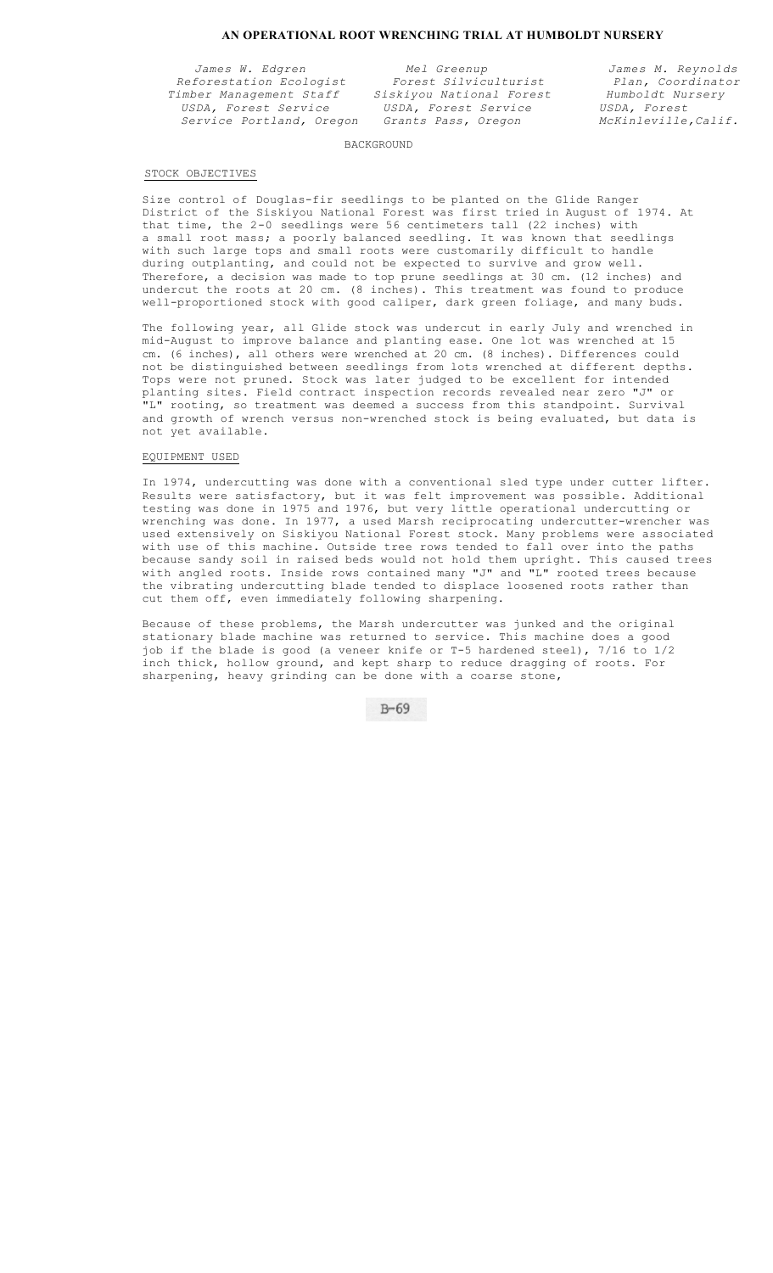# **AN OPERATIONAL ROOT WRENCHING TRIAL AT HUMBOLDT NURSERY**

*Reforestation Ecologist Forest Silviculturist Plan, Coordinat*<br>imber Management Staff *Siskiyou National Forest Humboldt Nursery Timber Management Staff Siskiyou National Forest Humboldt Nursery USDA, Forest Service USDA, Forest Service USDA, Forest*   $Service$  *Portland, Oregon* Grants Pass, Oregon

*James W. Edgren Mel Greenup James M. Reynolds* 

# BACKGROUND

# STOCK OBJECTIVES

Size control of Douglas-fir seedlings to be planted on the Glide Ranger District of the Siskiyou National Forest was first tried in August of 1974. At that time, the 2-0 seedlings were 56 centimeters tall (22 inches) with a small root mass; a poorly balanced seedling. It was known that seedlings with such large tops and small roots were customarily difficult to handle during outplanting, and could not be expected to survive and grow well. Therefore, a decision was made to top prune seedlings at 30 cm. (12 inches) and undercut the roots at 20 cm. (8 inches). This treatment was found to produce well-proportioned stock with good caliper, dark green foliage, and many buds.

The following year, all Glide stock was undercut in early July and wrenched in mid-August to improve balance and planting ease. One lot was wrenched at 15 cm. (6 inches), all others were wrenched at 20 cm. (8 inches). Differences could not be distinguished between seedlings from lots wrenched at different depths. Tops were not pruned. Stock was later judged to be excellent for intended planting sites. Field contract inspection records revealed near zero "J" or "L" rooting, so treatment was deemed a success from this standpoint. Survival and growth of wrench versus non-wrenched stock is being evaluated, but data is not yet available.

### EQUIPMENT USED

In 1974, undercutting was done with a conventional sled type under cutter lifter. Results were satisfactory, but it was felt improvement was possible. Additional testing was done in 1975 and 1976, but very little operational undercutting or wrenching was done. In 1977, a used Marsh reciprocating undercutter-wrencher was used extensively on Siskiyou National Forest stock. Many problems were associated with use of this machine. Outside tree rows tended to fall over into the paths because sandy soil in raised beds would not hold them upright. This caused trees with angled roots. Inside rows contained many "J" and "L" rooted trees because the vibrating undercutting blade tended to displace loosened roots rather than cut them off, even immediately following sharpening.

Because of these problems, the Marsh undercutter was junked and the original stationary blade machine was returned to service. This machine does a good job if the blade is good (a veneer knife or T-5 hardened steel), 7/16 to 1/2 inch thick, hollow ground, and kept sharp to reduce dragging of roots. For sharpening, heavy grinding can be done with a coarse stone,

 $B - 69$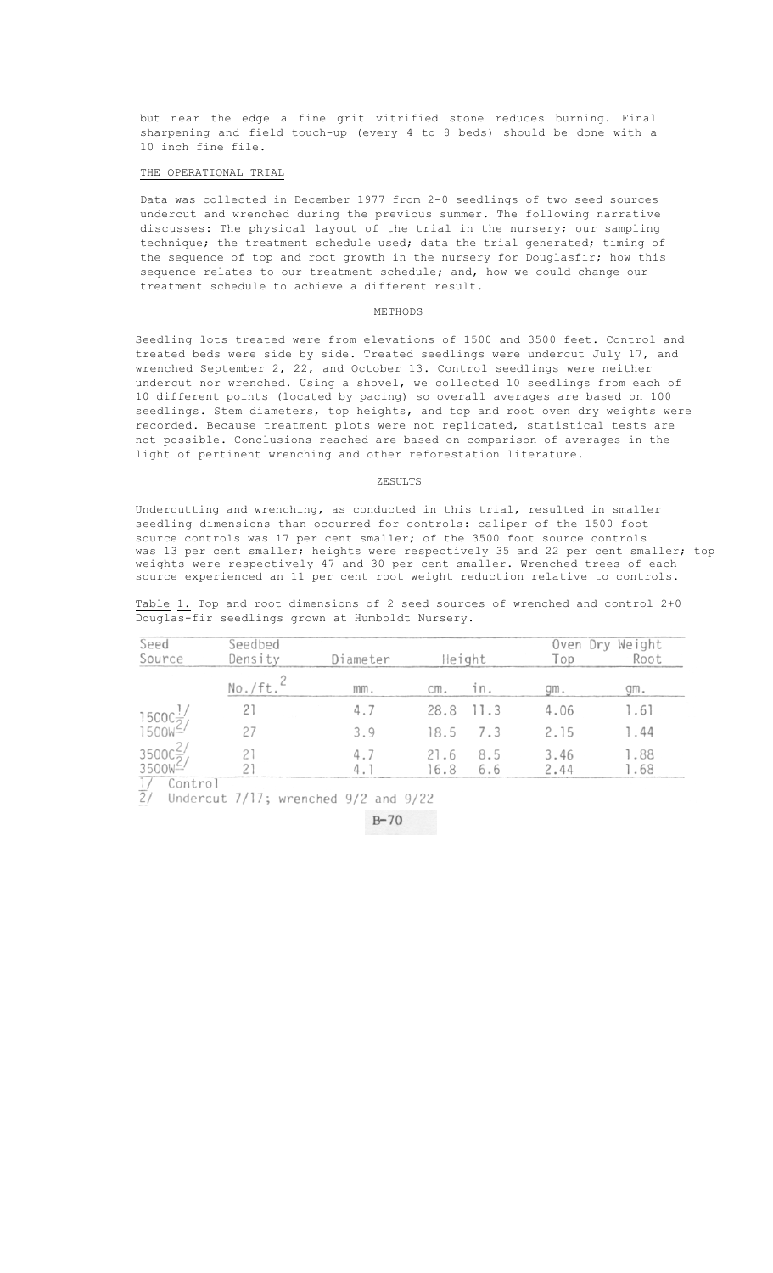but near the edge a fine grit vitrified stone reduces burning. Final sharpening and field touch-up (every 4 to 8 beds) should be done with a 10 inch fine file.

## THE OPERATIONAL TRIAL

Data was collected in December 1977 from 2-0 seedlings of two seed sources undercut and wrenched during the previous summer. The following narrative discusses: The physical layout of the trial in the nursery; our sampling technique; the treatment schedule used; data the trial generated; timing of the sequence of top and root growth in the nursery for Douglasfir; how this sequence relates to our treatment schedule; and, how we could change our treatment schedule to achieve a different result.

#### METHODS

Seedling lots treated were from elevations of 1500 and 3500 feet. Control and treated beds were side by side. Treated seedlings were undercut July 17, and wrenched September 2, 22, and October 13. Control seedlings were neither undercut nor wrenched. Using a shovel, we collected 10 seedlings from each of 10 different points (located by pacing) so overall averages are based on 100 seedlings. Stem diameters, top heights, and top and root oven dry weights were recorded. Because treatment plots were not replicated, statistical tests are not possible. Conclusions reached are based on comparison of averages in the light of pertinent wrenching and other reforestation literature.

# ZESULTS

Undercutting and wrenching, as conducted in this trial, resulted in smaller seedling dimensions than occurred for controls: caliper of the 1500 foot source controls was 17 per cent smaller; of the 3500 foot source controls was 13 per cent smaller; heights were respectively 35 and 22 per cent smaller; top weights were respectively 47 and 30 per cent smaller. Wrenched trees of each source experienced an 11 per cent root weight reduction relative to controls.

Table 1. Top and root dimensions of 2 seed sources of wrenched and control 2+0 Douglas-fir seedlings grown at Humboldt Nursery.

| Seed                                                        | Seedbed            |                  | Oven Dry Weight |           |      |      |
|-------------------------------------------------------------|--------------------|------------------|-----------------|-----------|------|------|
| Source                                                      | Density<br>No./ft. | Diameter<br>mm.  | Height          |           | Top  | Root |
|                                                             |                    |                  | cm.             | 1 n       | qm.  | qm.  |
|                                                             |                    | 4.7              |                 | 28.8 11.3 | 4.06 | 1.61 |
| $\frac{1500C_{2}^{1}}{1500W_{2}}$                           |                    | 3.9              | 18.5            | 7.3       | 2.15 | 1.44 |
| $\frac{3500C_2^2}{3500W^2}$                                 |                    | 4.7              | 21.6            | 8.5       | 3.46 | 1.88 |
| $\overline{1}$ $\overline{1}$ $\overline{0}$ $\overline{1}$ |                    | $\mathfrak{a}$ . | 16.8            | 6.6       | 2.44 | .68  |

Control

 $\frac{7}{2}$  Undercut 7/17; wrenched 9/2 and 9/22

 $B - 70$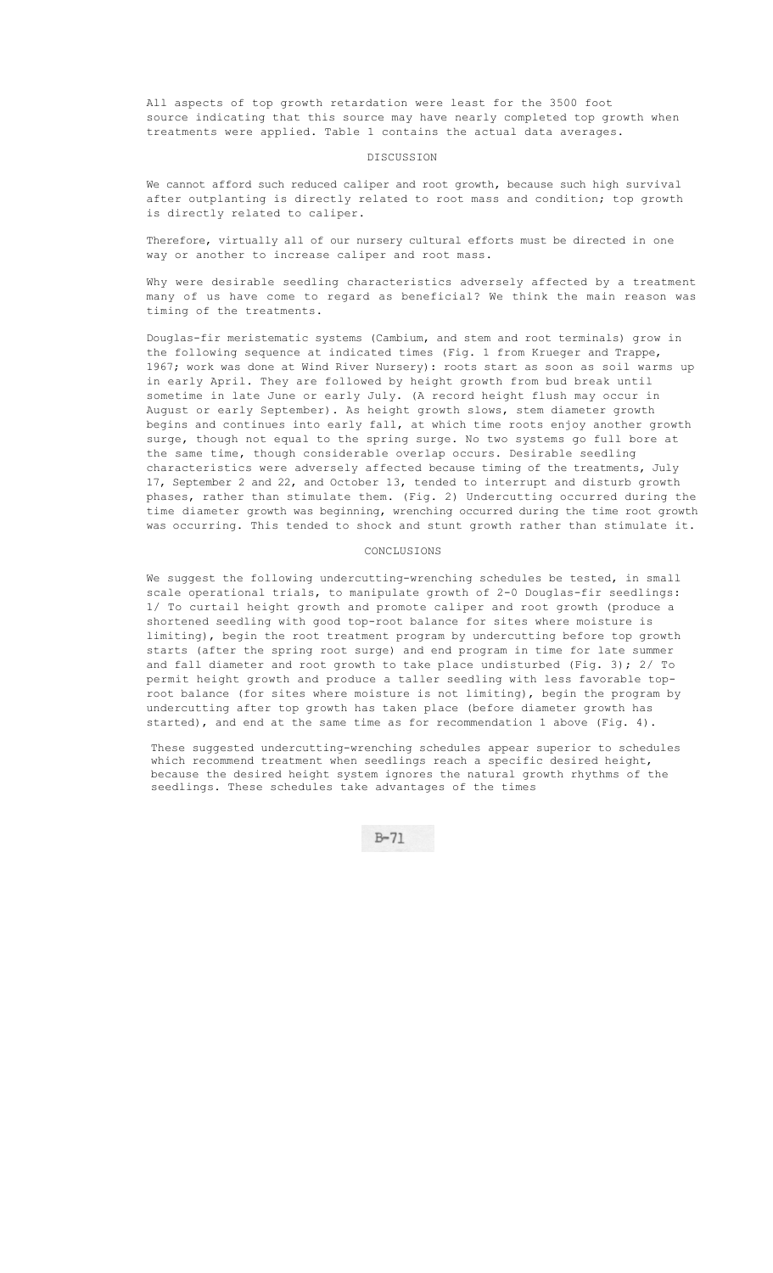All aspects of top growth retardation were least for the 3500 foot source indicating that this source may have nearly completed top growth when treatments were applied. Table 1 contains the actual data averages.

### DISCUSSION

We cannot afford such reduced caliper and root growth, because such high survival after outplanting is directly related to root mass and condition; top growth is directly related to caliper.

Therefore, virtually all of our nursery cultural efforts must be directed in one way or another to increase caliper and root mass.

Why were desirable seedling characteristics adversely affected by a treatment many of us have come to regard as beneficial? We think the main reason was timing of the treatments.

Douglas-fir meristematic systems (Cambium, and stem and root terminals) grow in the following sequence at indicated times (Fig. 1 from Krueger and Trappe, 1967; work was done at Wind River Nursery): roots start as soon as soil warms up in early April. They are followed by height growth from bud break until sometime in late June or early July. (A record height flush may occur in August or early September). As height growth slows, stem diameter growth begins and continues into early fall, at which time roots enjoy another growth surge, though not equal to the spring surge. No two systems go full bore at the same time, though considerable overlap occurs. Desirable seedling characteristics were adversely affected because timing of the treatments, July 17, September 2 and 22, and October 13, tended to interrupt and disturb growth phases, rather than stimulate them. (Fig. 2) Undercutting occurred during the time diameter growth was beginning, wrenching occurred during the time root growth was occurring. This tended to shock and stunt growth rather than stimulate it.

### CONCLUSIONS

We suggest the following undercutting-wrenching schedules be tested, in small scale operational trials, to manipulate growth of 2-0 Douglas-fir seedlings: 1/ To curtail height growth and promote caliper and root growth (produce a shortened seedling with good top-root balance for sites where moisture is limiting), begin the root treatment program by undercutting before top growth starts (after the spring root surge) and end program in time for late summer and fall diameter and root growth to take place undisturbed (Fig. 3); 2/ To permit height growth and produce a taller seedling with less favorable toproot balance (for sites where moisture is not limiting), begin the program by undercutting after top growth has taken place (before diameter growth has started), and end at the same time as for recommendation 1 above (Fig. 4).

These suggested undercutting-wrenching schedules appear superior to schedules which recommend treatment when seedlings reach a specific desired height, because the desired height system ignores the natural growth rhythms of the seedlings. These schedules take advantages of the times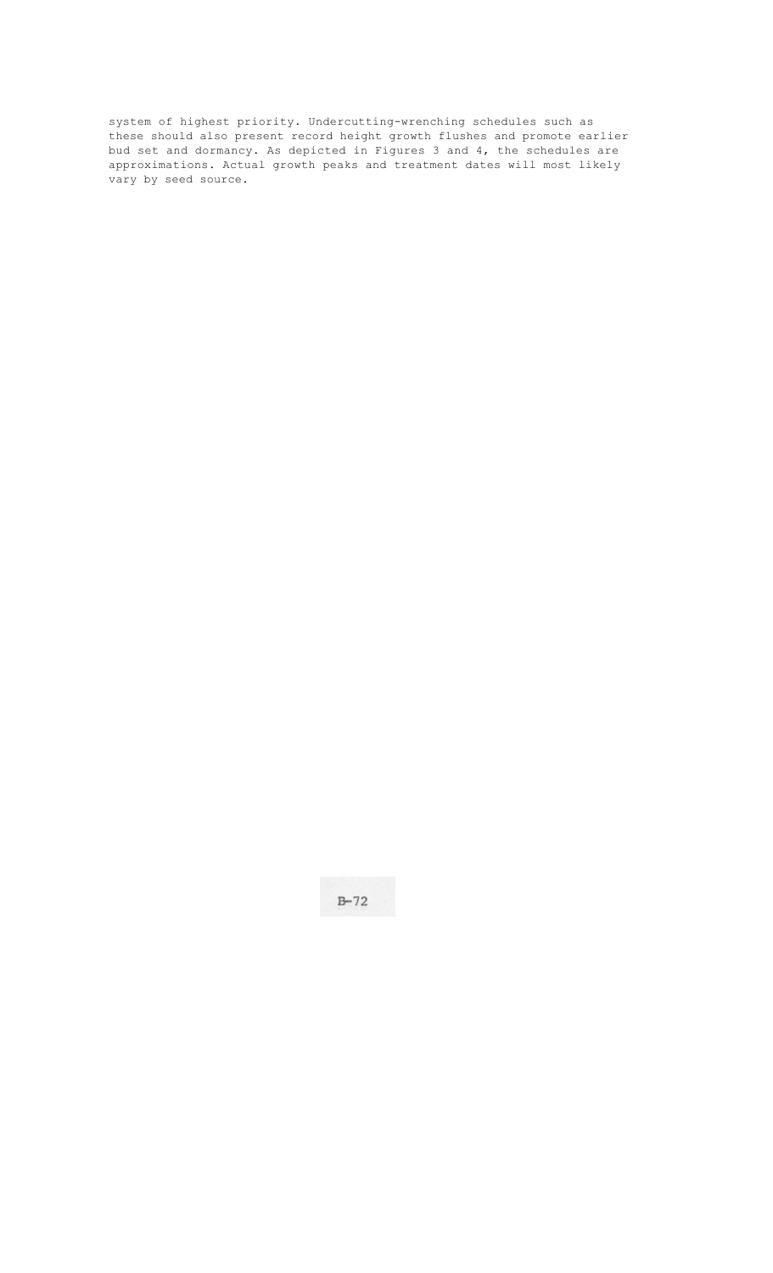system of highest priority. Undercutting-wrenching schedules such as these should also present record height growth flushes and promote earlier bud set and dormancy. As depicted in Figures 3 and 4, the schedules are approximations. Actual growth peaks and treatment dates will most likely vary by seed source.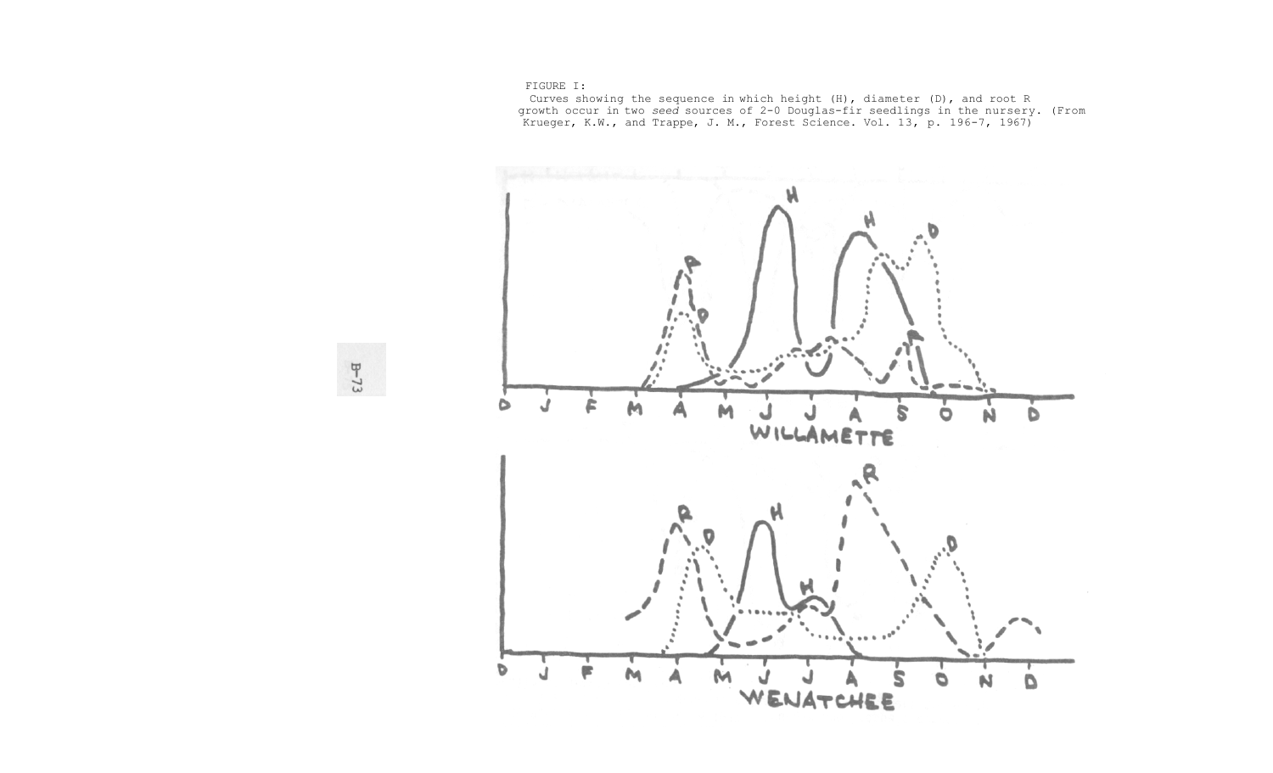FIGURE I:

 Curves showing the sequence in which height (H), diameter (D), and root R growth occur in two *seed* sources of 2-0 Douglas-fir seedlings in the nursery. (From Krueger, K.W., and Trappe, J. M., Forest Science. Vol. 13, p. 196-7, 1967)



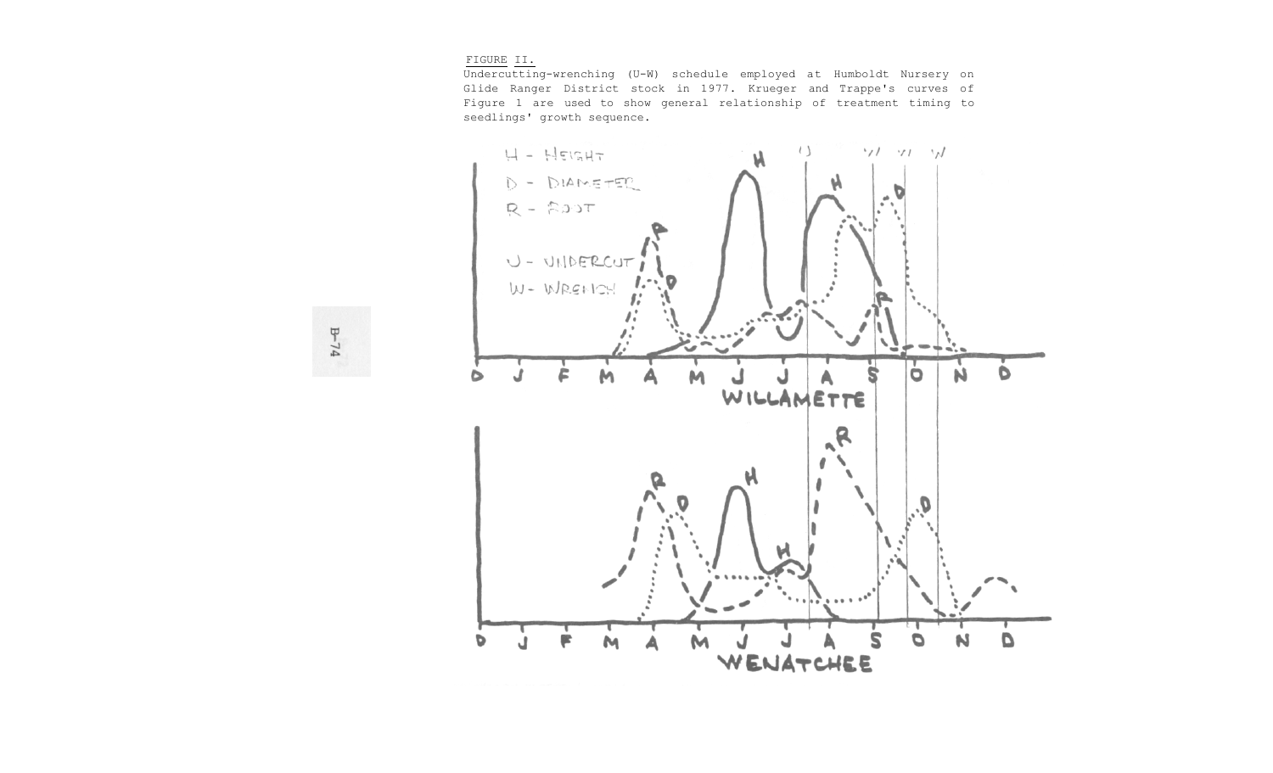#### FIGURE II.

Undercutting-wrenching (U-W) schedule employed at Humboldt Nursery on Glide Ranger District stock in 1977. Krueger and Trappe's curves of Figure 1 are used to show general relationship of treatment timing to seedlings' growth sequence.

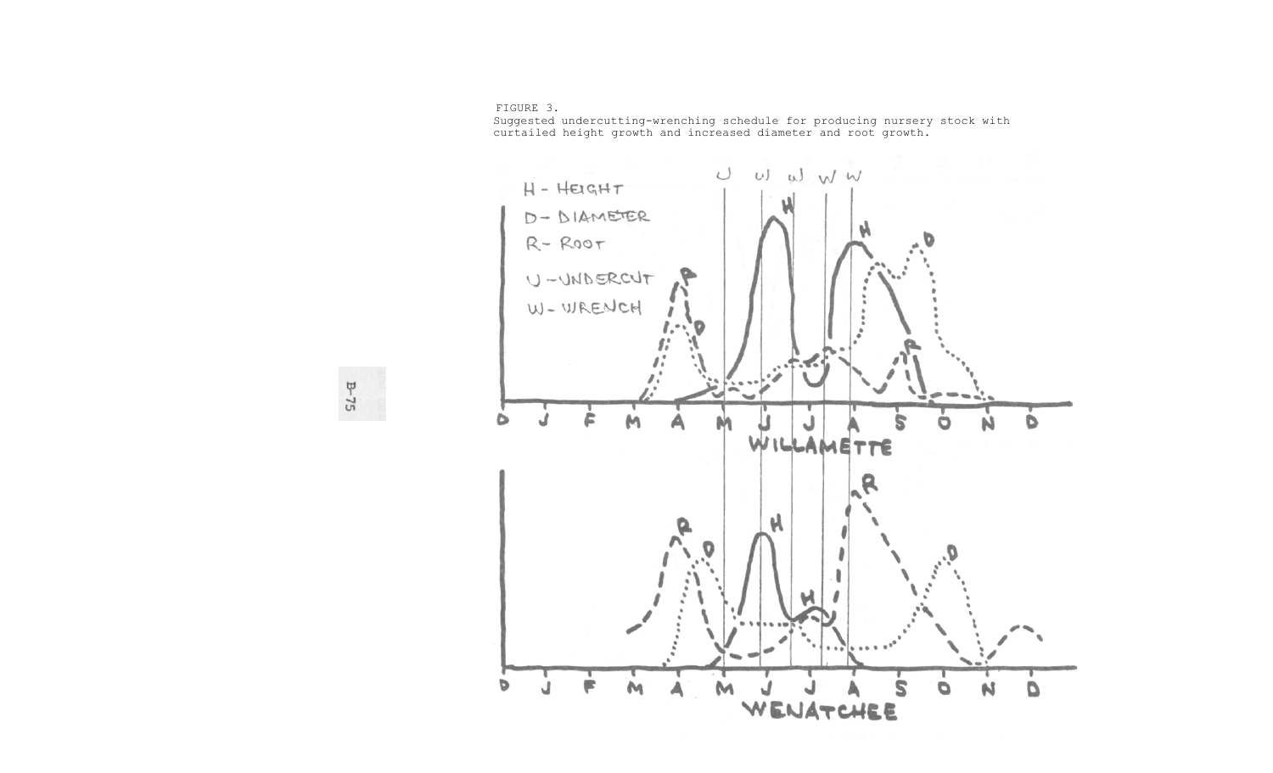FIGURE 3.

Suggested undercutting-wrenching schedule for producing nursery stock with curtailed height growth and increased diameter and root growth.